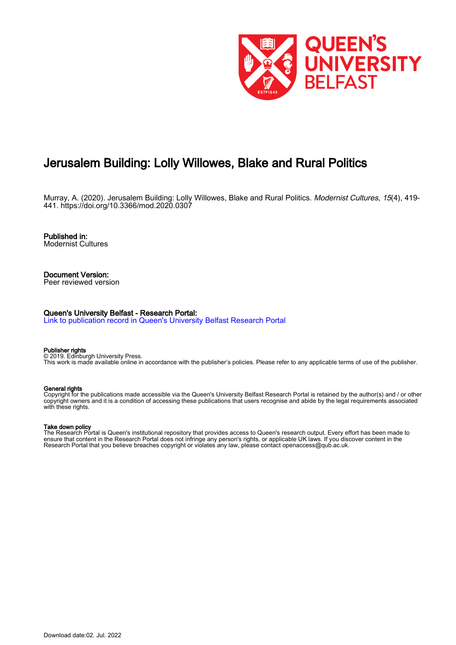

# Jerusalem Building: Lolly Willowes, Blake and Rural Politics

Murray, A. (2020). Jerusalem Building: Lolly Willowes, Blake and Rural Politics. Modernist Cultures, 15(4), 419- 441.<https://doi.org/10.3366/mod.2020.0307>

Published in: Modernist Cultures

Document Version: Peer reviewed version

#### Queen's University Belfast - Research Portal:

[Link to publication record in Queen's University Belfast Research Portal](https://pure.qub.ac.uk/en/publications/04099b1c-a5eb-493f-a4d8-0fbbbebe4bee)

#### Publisher rights

© 2019. Edinburgh University Press. This work is made available online in accordance with the publisher's policies. Please refer to any applicable terms of use of the publisher.

#### General rights

Copyright for the publications made accessible via the Queen's University Belfast Research Portal is retained by the author(s) and / or other copyright owners and it is a condition of accessing these publications that users recognise and abide by the legal requirements associated with these rights.

#### Take down policy

The Research Portal is Queen's institutional repository that provides access to Queen's research output. Every effort has been made to ensure that content in the Research Portal does not infringe any person's rights, or applicable UK laws. If you discover content in the Research Portal that you believe breaches copyright or violates any law, please contact openaccess@qub.ac.uk.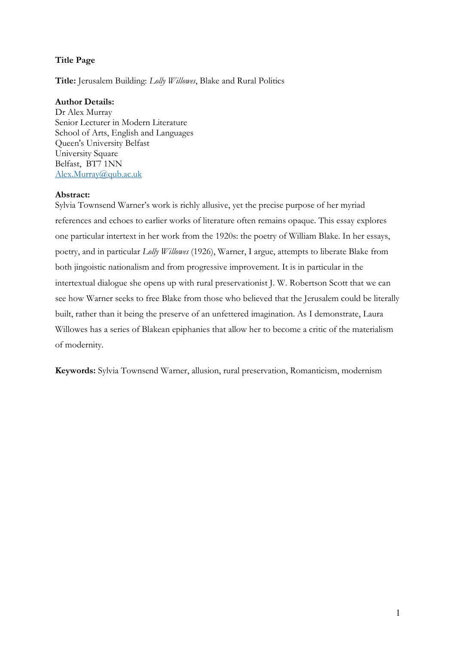# Title Page

Title: Jerusalem Building: Lolly Willowes, Blake and Rural Politics

# Author Details:

Dr Alex Murray Senior Lecturer in Modern Literature School of Arts, English and Languages Queen's University Belfast University Square Belfast, BT7 1NN Alex.Murray@qub.ac.uk

# Abstract:

Sylvia Townsend Warner's work is richly allusive, yet the precise purpose of her myriad references and echoes to earlier works of literature often remains opaque. This essay explores one particular intertext in her work from the 1920s: the poetry of William Blake. In her essays, poetry, and in particular Lolly Willowes (1926), Warner, I argue, attempts to liberate Blake from both jingoistic nationalism and from progressive improvement. It is in particular in the intertextual dialogue she opens up with rural preservationist J. W. Robertson Scott that we can see how Warner seeks to free Blake from those who believed that the Jerusalem could be literally built, rather than it being the preserve of an unfettered imagination. As I demonstrate, Laura Willowes has a series of Blakean epiphanies that allow her to become a critic of the materialism of modernity.

Keywords: Sylvia Townsend Warner, allusion, rural preservation, Romanticism, modernism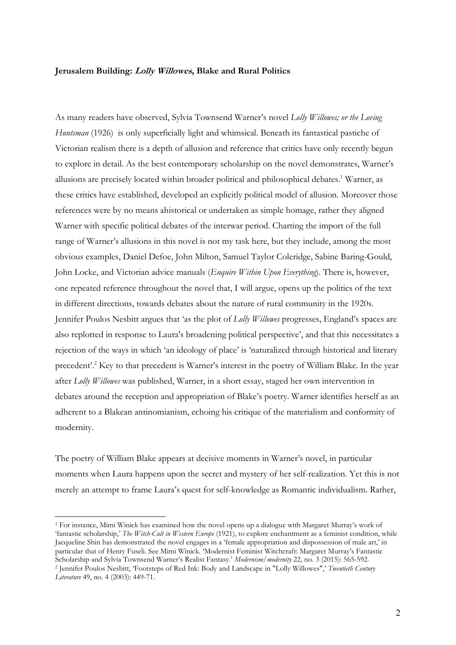### Jerusalem Building: Lolly Willowes, Blake and Rural Politics

As many readers have observed, Sylvia Townsend Warner's novel Lolly Willowes; or the Loving Huntsman (1926) is only superficially light and whimsical. Beneath its fantastical pastiche of Victorian realism there is a depth of allusion and reference that critics have only recently begun to explore in detail. As the best contemporary scholarship on the novel demonstrates, Warner's allusions are precisely located within broader political and philosophical debates.<sup>1</sup> Warner, as these critics have established, developed an explicitly political model of allusion. Moreover those references were by no means ahistorical or undertaken as simple homage, rather they aligned Warner with specific political debates of the interwar period. Charting the import of the full range of Warner's allusions in this novel is not my task here, but they include, among the most obvious examples, Daniel Defoe, John Milton, Samuel Taylor Coleridge, Sabine Baring-Gould, John Locke, and Victorian advice manuals (Enquire Within Upon Everything). There is, however, one repeated reference throughout the novel that, I will argue, opens up the politics of the text in different directions, towards debates about the nature of rural community in the 1920s. Jennifer Poulos Nesbitt argues that 'as the plot of Lolly Willowes progresses, England's spaces are also replotted in response to Laura's broadening political perspective', and that this necessitates a rejection of the ways in which 'an ideology of place' is 'naturalized through historical and literary precedent'.<sup>2</sup> Key to that precedent is Warner's interest in the poetry of William Blake. In the year after Lolly Willowes was published, Warner, in a short essay, staged her own intervention in debates around the reception and appropriation of Blake's poetry. Warner identifies herself as an adherent to a Blakean antinomianism, echoing his critique of the materialism and conformity of modernity.

The poetry of William Blake appears at decisive moments in Warner's novel, in particular moments when Laura happens upon the secret and mystery of her self-realization. Yet this is not merely an attempt to frame Laura's quest for self-knowledge as Romantic individualism. Rather,

<sup>1</sup> For instance, Mimi Winick has examined how the novel opens up a dialogue with Margaret Murray's work of 'fantastic scholarship,' The Witch-Cult in Western Europe (1921), to explore enchantment as a feminist condition, while Jacqueline Shin has demonstrated the novel engages in a 'female appropriation and dispossession of male art,' in particular that of Henry Fuseli. See Mimi Winick. 'Modernist Feminist Witchcraft: Margaret Murray's Fantastic Scholarship and Sylvia Townsend Warner's Realist Fantasy.' Modernism/modernity 22, no. 3 (2015): 565-592. <sup>2</sup> Jennifer Poulos Nesbitt, 'Footsteps of Red Ink: Body and Landscape in "Lolly Willowes",' Twentieth Century

Literature 49, no. 4 (2003): 449-71.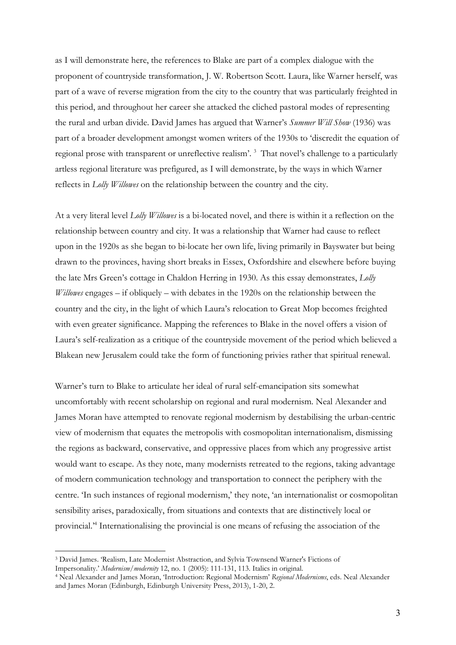as I will demonstrate here, the references to Blake are part of a complex dialogue with the proponent of countryside transformation, J. W. Robertson Scott. Laura, like Warner herself, was part of a wave of reverse migration from the city to the country that was particularly freighted in this period, and throughout her career she attacked the cliched pastoral modes of representing the rural and urban divide. David James has argued that Warner's Summer Will Show (1936) was part of a broader development amongst women writers of the 1930s to 'discredit the equation of regional prose with transparent or unreflective realism'.<sup>3</sup> That novel's challenge to a particularly artless regional literature was prefigured, as I will demonstrate, by the ways in which Warner reflects in Lolly Willowes on the relationship between the country and the city.

At a very literal level Lolly Willowes is a bi-located novel, and there is within it a reflection on the relationship between country and city. It was a relationship that Warner had cause to reflect upon in the 1920s as she began to bi-locate her own life, living primarily in Bayswater but being drawn to the provinces, having short breaks in Essex, Oxfordshire and elsewhere before buying the late Mrs Green's cottage in Chaldon Herring in 1930. As this essay demonstrates, Lolly *Willowes* engages – if obliquely – with debates in the 1920s on the relationship between the country and the city, in the light of which Laura's relocation to Great Mop becomes freighted with even greater significance. Mapping the references to Blake in the novel offers a vision of Laura's self-realization as a critique of the countryside movement of the period which believed a Blakean new Jerusalem could take the form of functioning privies rather that spiritual renewal.

Warner's turn to Blake to articulate her ideal of rural self-emancipation sits somewhat uncomfortably with recent scholarship on regional and rural modernism. Neal Alexander and James Moran have attempted to renovate regional modernism by destabilising the urban-centric view of modernism that equates the metropolis with cosmopolitan internationalism, dismissing the regions as backward, conservative, and oppressive places from which any progressive artist would want to escape. As they note, many modernists retreated to the regions, taking advantage of modern communication technology and transportation to connect the periphery with the centre. 'In such instances of regional modernism,' they note, 'an internationalist or cosmopolitan sensibility arises, paradoxically, from situations and contexts that are distinctively local or provincial.'<sup>4</sup> Internationalising the provincial is one means of refusing the association of the

<sup>3</sup> David James. 'Realism, Late Modernist Abstraction, and Sylvia Townsend Warner's Fictions of Impersonality.' Modernism/modernity 12, no. 1 (2005): 111-131, 113. Italics in original.

<sup>&</sup>lt;sup>4</sup> Neal Alexander and James Moran, 'Introduction: Regional Modernism' Regional Modernisms, eds. Neal Alexander and James Moran (Edinburgh, Edinburgh University Press, 2013), 1-20, 2.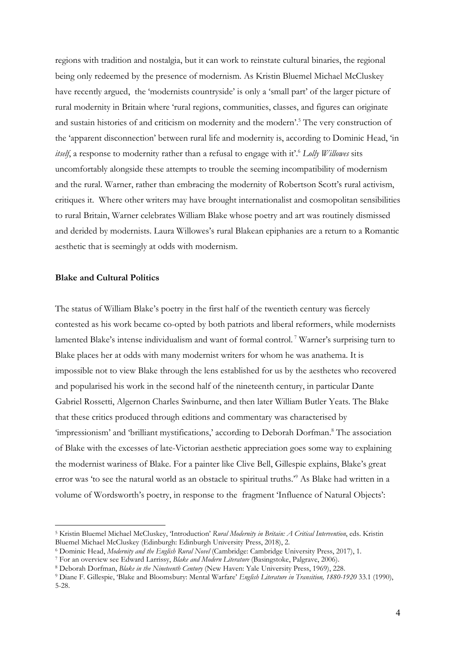regions with tradition and nostalgia, but it can work to reinstate cultural binaries, the regional being only redeemed by the presence of modernism. As Kristin Bluemel Michael McCluskey have recently argued, the 'modernists countryside' is only a 'small part' of the larger picture of rural modernity in Britain where 'rural regions, communities, classes, and figures can originate and sustain histories of and criticism on modernity and the modern'.<sup>5</sup> The very construction of the 'apparent disconnection' between rural life and modernity is, according to Dominic Head, 'in *itself*, a response to modernity rather than a refusal to engage with it'.<sup>6</sup> Lolly Willowes sits uncomfortably alongside these attempts to trouble the seeming incompatibility of modernism and the rural. Warner, rather than embracing the modernity of Robertson Scott's rural activism, critiques it. Where other writers may have brought internationalist and cosmopolitan sensibilities to rural Britain, Warner celebrates William Blake whose poetry and art was routinely dismissed and derided by modernists. Laura Willowes's rural Blakean epiphanies are a return to a Romantic aesthetic that is seemingly at odds with modernism.

#### Blake and Cultural Politics

-

The status of William Blake's poetry in the first half of the twentieth century was fiercely contested as his work became co-opted by both patriots and liberal reformers, while modernists lamented Blake's intense individualism and want of formal control.<sup>7</sup> Warner's surprising turn to Blake places her at odds with many modernist writers for whom he was anathema. It is impossible not to view Blake through the lens established for us by the aesthetes who recovered and popularised his work in the second half of the nineteenth century, in particular Dante Gabriel Rossetti, Algernon Charles Swinburne, and then later William Butler Yeats. The Blake that these critics produced through editions and commentary was characterised by 'impressionism' and 'brilliant mystifications,' according to Deborah Dorfman.<sup>8</sup> The association of Blake with the excesses of late-Victorian aesthetic appreciation goes some way to explaining the modernist wariness of Blake. For a painter like Clive Bell, Gillespie explains, Blake's great error was 'to see the natural world as an obstacle to spiritual truths.'<sup>9</sup> As Blake had written in a volume of Wordsworth's poetry, in response to the fragment 'Influence of Natural Objects':

<sup>&</sup>lt;sup>5</sup> Kristin Bluemel Michael McCluskey, 'Introduction' Rural Modernity in Britain: A Critical Intervention, eds. Kristin Bluemel Michael McCluskey (Edinburgh: Edinburgh University Press, 2018), 2.

<sup>&</sup>lt;sup>6</sup> Dominic Head, Modernity and the English Rural Novel (Cambridge: Cambridge University Press, 2017), 1.

<sup>&</sup>lt;sup>7</sup> For an overview see Edward Larrissy, Blake and Modern Literature (Basingstoke, Palgrave, 2006).

<sup>&</sup>lt;sup>8</sup> Deborah Dorfman, *Blake in the Nineteenth Century* (New Haven: Yale University Press, 1969), 228.

<sup>&</sup>lt;sup>9</sup> Diane F. Gillespie, 'Blake and Bloomsbury: Mental Warfare' English Literature in Transition, 1880-1920 33.1 (1990), 5-28.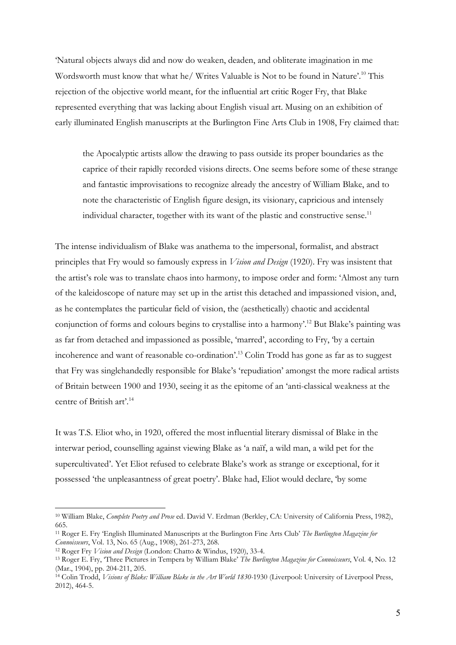'Natural objects always did and now do weaken, deaden, and obliterate imagination in me Wordsworth must know that what he/ Writes Valuable is Not to be found in Nature'.<sup>10</sup> This rejection of the objective world meant, for the influential art critic Roger Fry, that Blake represented everything that was lacking about English visual art. Musing on an exhibition of early illuminated English manuscripts at the Burlington Fine Arts Club in 1908, Fry claimed that:

the Apocalyptic artists allow the drawing to pass outside its proper boundaries as the caprice of their rapidly recorded visions directs. One seems before some of these strange and fantastic improvisations to recognize already the ancestry of William Blake, and to note the characteristic of English figure design, its visionary, capricious and intensely individual character, together with its want of the plastic and constructive sense.<sup>11</sup>

The intense individualism of Blake was anathema to the impersonal, formalist, and abstract principles that Fry would so famously express in *Vision and Design* (1920). Fry was insistent that the artist's role was to translate chaos into harmony, to impose order and form: 'Almost any turn of the kaleidoscope of nature may set up in the artist this detached and impassioned vision, and, as he contemplates the particular field of vision, the (aesthetically) chaotic and accidental conjunction of forms and colours begins to crystallise into a harmony'.<sup>12</sup> But Blake's painting was as far from detached and impassioned as possible, 'marred', according to Fry, 'by a certain incoherence and want of reasonable co-ordination'.<sup>13</sup> Colin Trodd has gone as far as to suggest that Fry was singlehandedly responsible for Blake's 'repudiation' amongst the more radical artists of Britain between 1900 and 1930, seeing it as the epitome of an 'anti-classical weakness at the centre of British art'.<sup>14</sup>

It was T.S. Eliot who, in 1920, offered the most influential literary dismissal of Blake in the interwar period, counselling against viewing Blake as 'a naïf, a wild man, a wild pet for the supercultivated'. Yet Eliot refused to celebrate Blake's work as strange or exceptional, for it possessed 'the unpleasantness of great poetry'. Blake had, Eliot would declare, 'by some

<sup>&</sup>lt;sup>10</sup> William Blake, Complete Poetry and Prose ed. David V. Erdman (Berkley, CA: University of California Press, 1982), 665.

<sup>&</sup>lt;sup>11</sup> Roger E. Fry 'English Illuminated Manuscripts at the Burlington Fine Arts Club' The Burlington Magazine for Connoisseurs, Vol. 13, No. 65 (Aug., 1908), 261-273, 268.

<sup>&</sup>lt;sup>12</sup> Roger Fry *Vision and Design* (London: Chatto & Windus, 1920), 33-4.

<sup>&</sup>lt;sup>13</sup> Roger E. Fry, 'Three Pictures in Tempera by William Blake' The Burlington Magazine for Connoisseurs, Vol. 4, No. 12 (Mar., 1904), pp. 204-211, 205.

<sup>&</sup>lt;sup>14</sup> Colin Trodd, *Visions of Blake: William Blake in the Art World 1830-1930* (Liverpool: University of Liverpool Press, 2012), 464-5.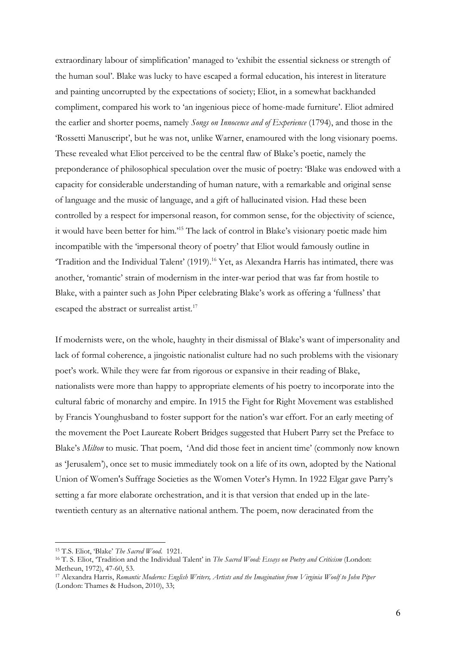extraordinary labour of simplification' managed to 'exhibit the essential sickness or strength of the human soul'. Blake was lucky to have escaped a formal education, his interest in literature and painting uncorrupted by the expectations of society; Eliot, in a somewhat backhanded compliment, compared his work to 'an ingenious piece of home-made furniture'. Eliot admired the earlier and shorter poems, namely Songs on Innocence and of Experience (1794), and those in the 'Rossetti Manuscript', but he was not, unlike Warner, enamoured with the long visionary poems. These revealed what Eliot perceived to be the central flaw of Blake's poetic, namely the preponderance of philosophical speculation over the music of poetry: 'Blake was endowed with a capacity for considerable understanding of human nature, with a remarkable and original sense of language and the music of language, and a gift of hallucinated vision. Had these been controlled by a respect for impersonal reason, for common sense, for the objectivity of science, it would have been better for him.'<sup>15</sup> The lack of control in Blake's visionary poetic made him incompatible with the 'impersonal theory of poetry' that Eliot would famously outline in 'Tradition and the Individual Talent' (1919).<sup>16</sup> Yet, as Alexandra Harris has intimated, there was another, 'romantic' strain of modernism in the inter-war period that was far from hostile to Blake, with a painter such as John Piper celebrating Blake's work as offering a 'fullness' that escaped the abstract or surrealist artist.<sup>17</sup>

If modernists were, on the whole, haughty in their dismissal of Blake's want of impersonality and lack of formal coherence, a jingoistic nationalist culture had no such problems with the visionary poet's work. While they were far from rigorous or expansive in their reading of Blake, nationalists were more than happy to appropriate elements of his poetry to incorporate into the cultural fabric of monarchy and empire. In 1915 the Fight for Right Movement was established by Francis Younghusband to foster support for the nation's war effort. For an early meeting of the movement the Poet Laureate Robert Bridges suggested that Hubert Parry set the Preface to Blake's Milton to music. That poem, 'And did those feet in ancient time' (commonly now known as 'Jerusalem'), once set to music immediately took on a life of its own, adopted by the National Union of Women's Suffrage Societies as the Women Voter's Hymn. In 1922 Elgar gave Parry's setting a far more elaborate orchestration, and it is that version that ended up in the latetwentieth century as an alternative national anthem. The poem, now deracinated from the

<sup>&</sup>lt;sup>15</sup> T.S. Eliot, 'Blake' The Sacred Wood. 1921.

<sup>&</sup>lt;sup>16</sup> T. S. Eliot, 'Tradition and the Individual Talent' in *The Sacred Wood: Essays on Poetry and Criticism* (London: Metheun, 1972), 47-60, 53.

<sup>&</sup>lt;sup>17</sup> Alexandra Harris, Romantic Moderns: English Writers, Artists and the Imagination from Virginia Woolf to John Piper (London: Thames & Hudson, 2010), 33;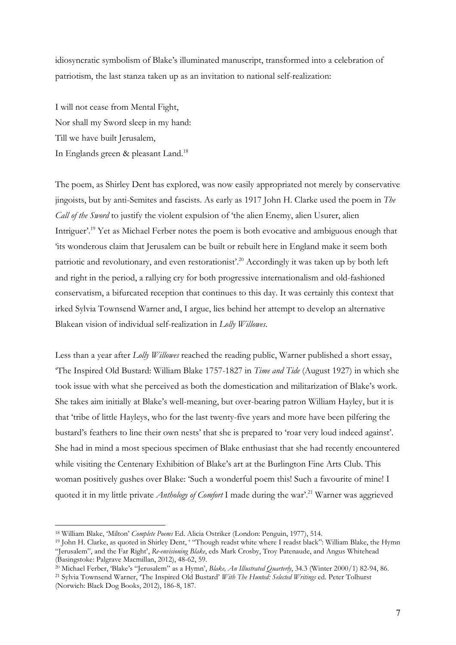idiosyncratic symbolism of Blake's illuminated manuscript, transformed into a celebration of patriotism, the last stanza taken up as an invitation to national self-realization:

I will not cease from Mental Fight, Nor shall my Sword sleep in my hand: Till we have built Jerusalem, In Englands green & pleasant Land.<sup>18</sup>

The poem, as Shirley Dent has explored, was now easily appropriated not merely by conservative jingoists, but by anti-Semites and fascists. As early as 1917 John H. Clarke used the poem in The Call of the Sword to justify the violent expulsion of 'the alien Enemy, alien Usurer, alien Intriguer'.<sup>19</sup> Yet as Michael Ferber notes the poem is both evocative and ambiguous enough that 'its wonderous claim that Jerusalem can be built or rebuilt here in England make it seem both patriotic and revolutionary, and even restorationist'.<sup>20</sup> Accordingly it was taken up by both left and right in the period, a rallying cry for both progressive internationalism and old-fashioned conservatism, a bifurcated reception that continues to this day. It was certainly this context that irked Sylvia Townsend Warner and, I argue, lies behind her attempt to develop an alternative Blakean vision of individual self-realization in Lolly Willowes.

Less than a year after Lolly Willowes reached the reading public, Warner published a short essay, 'The Inspired Old Bustard: William Blake 1757-1827 in Time and Tide (August 1927) in which she took issue with what she perceived as both the domestication and militarization of Blake's work. She takes aim initially at Blake's well-meaning, but over-bearing patron William Hayley, but it is that 'tribe of little Hayleys, who for the last twenty-five years and more have been pilfering the bustard's feathers to line their own nests' that she is prepared to 'roar very loud indeed against'. She had in mind a most specious specimen of Blake enthusiast that she had recently encountered while visiting the Centenary Exhibition of Blake's art at the Burlington Fine Arts Club. This woman positively gushes over Blake: 'Such a wonderful poem this! Such a favourite of mine! I quoted it in my little private Anthology of Comfort I made during the war'.<sup>21</sup> Warner was aggrieved

<sup>-</sup><sup>18</sup> William Blake, 'Milton' Complete Poems Ed. Alicia Ostriker (London: Penguin, 1977), 514.

<sup>19</sup> John H. Clarke, as quoted in Shirley Dent, ' "Though readst white where I readst black": William Blake, the Hymn "Jerusalem", and the Far Right', Re-envisioning Blake, eds Mark Crosby, Troy Patenaude, and Angus Whitehead (Basingstoke: Palgrave Macmillan, 2012), 48-62, 59.

<sup>&</sup>lt;sup>20</sup> Michael Ferber, 'Blake's "Jerusalem" as a Hymn', Blake, An Illustrated Quarterly, 34.3 (Winter 2000/1) 82-94, 86. <sup>21</sup> Sylvia Townsend Warner, 'The Inspired Old Bustard' With The Hunted: Selected Writings ed. Peter Tolhurst

<sup>(</sup>Norwich: Black Dog Books, 2012), 186-8, 187.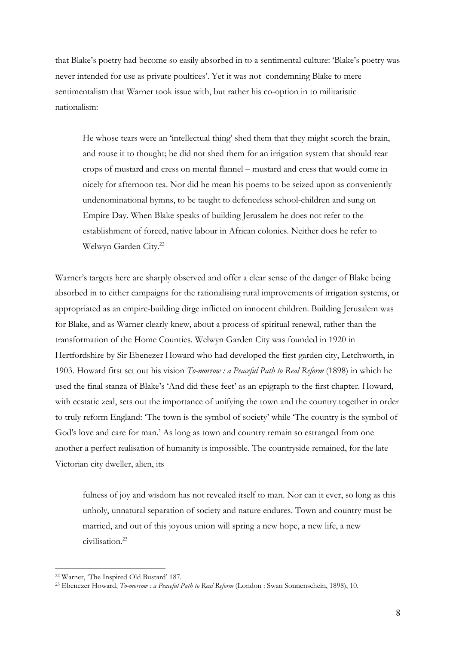that Blake's poetry had become so easily absorbed in to a sentimental culture: 'Blake's poetry was never intended for use as private poultices'. Yet it was not condemning Blake to mere sentimentalism that Warner took issue with, but rather his co-option in to militaristic nationalism:

He whose tears were an 'intellectual thing' shed them that they might scorch the brain, and rouse it to thought; he did not shed them for an irrigation system that should rear crops of mustard and cress on mental flannel – mustard and cress that would come in nicely for afternoon tea. Nor did he mean his poems to be seized upon as conveniently undenominational hymns, to be taught to defenceless school-children and sung on Empire Day. When Blake speaks of building Jerusalem he does not refer to the establishment of forced, native labour in African colonies. Neither does he refer to Welwyn Garden City.<sup>22</sup>

Warner's targets here are sharply observed and offer a clear sense of the danger of Blake being absorbed in to either campaigns for the rationalising rural improvements of irrigation systems, or appropriated as an empire-building dirge inflicted on innocent children. Building Jerusalem was for Blake, and as Warner clearly knew, about a process of spiritual renewal, rather than the transformation of the Home Counties. Welwyn Garden City was founded in 1920 in Hertfordshire by Sir Ebenezer Howard who had developed the first garden city, Letchworth, in 1903. Howard first set out his vision To-morrow : a Peaceful Path to Real Reform (1898) in which he used the final stanza of Blake's 'And did these feet' as an epigraph to the first chapter. Howard, with ecstatic zeal, sets out the importance of unifying the town and the country together in order to truly reform England: 'The town is the symbol of society' while 'The country is the symbol of God's love and care for man.' As long as town and country remain so estranged from one another a perfect realisation of humanity is impossible. The countryside remained, for the late Victorian city dweller, alien, its

fulness of joy and wisdom has not revealed itself to man. Nor can it ever, so long as this unholy, unnatural separation of society and nature endures. Town and country must be married, and out of this joyous union will spring a new hope, a new life, a new civilisation.<sup>23</sup>

<sup>22</sup> Warner, 'The Inspired Old Bustard' 187.

<sup>&</sup>lt;sup>23</sup> Ebenezer Howard, *To-morrow : a Peaceful Path to Real Reform* (London : Swan Sonnenschein, 1898), 10.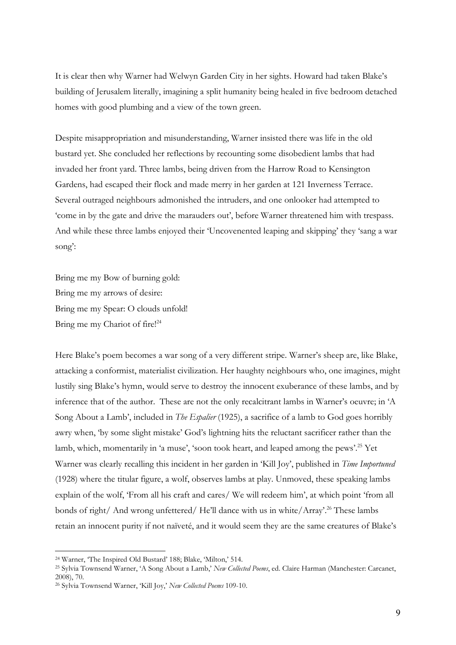It is clear then why Warner had Welwyn Garden City in her sights. Howard had taken Blake's building of Jerusalem literally, imagining a split humanity being healed in five bedroom detached homes with good plumbing and a view of the town green.

Despite misappropriation and misunderstanding, Warner insisted there was life in the old bustard yet. She concluded her reflections by recounting some disobedient lambs that had invaded her front yard. Three lambs, being driven from the Harrow Road to Kensington Gardens, had escaped their flock and made merry in her garden at 121 Inverness Terrace. Several outraged neighbours admonished the intruders, and one onlooker had attempted to 'come in by the gate and drive the marauders out', before Warner threatened him with trespass. And while these three lambs enjoyed their 'Uncovenented leaping and skipping' they 'sang a war song':

Bring me my Bow of burning gold: Bring me my arrows of desire: Bring me my Spear: O clouds unfold! Bring me my Chariot of fire!<sup>24</sup>

Here Blake's poem becomes a war song of a very different stripe. Warner's sheep are, like Blake, attacking a conformist, materialist civilization. Her haughty neighbours who, one imagines, might lustily sing Blake's hymn, would serve to destroy the innocent exuberance of these lambs, and by inference that of the author. These are not the only recalcitrant lambs in Warner's oeuvre; in 'A Song About a Lamb', included in *The Espalier* (1925), a sacrifice of a lamb to God goes horribly awry when, 'by some slight mistake' God's lightning hits the reluctant sacrificer rather than the lamb, which, momentarily in 'a muse', 'soon took heart, and leaped among the pews'.<sup>25</sup> Yet Warner was clearly recalling this incident in her garden in 'Kill Joy', published in *Time Importuned* (1928) where the titular figure, a wolf, observes lambs at play. Unmoved, these speaking lambs explain of the wolf, 'From all his craft and cares/ We will redeem him', at which point 'from all bonds of right/ And wrong unfettered/ He'll dance with us in white/Array'.<sup>26</sup> These lambs retain an innocent purity if not naïveté, and it would seem they are the same creatures of Blake's

<sup>24</sup> Warner, 'The Inspired Old Bustard' 188; Blake, 'Milton,' 514.

<sup>&</sup>lt;sup>25</sup> Sylvia Townsend Warner, 'A Song About a Lamb,' New Collected Poems, ed. Claire Harman (Manchester: Carcanet, 2008), 70.

<sup>&</sup>lt;sup>26</sup> Sylvia Townsend Warner, 'Kill Joy,' New Collected Poems 109-10.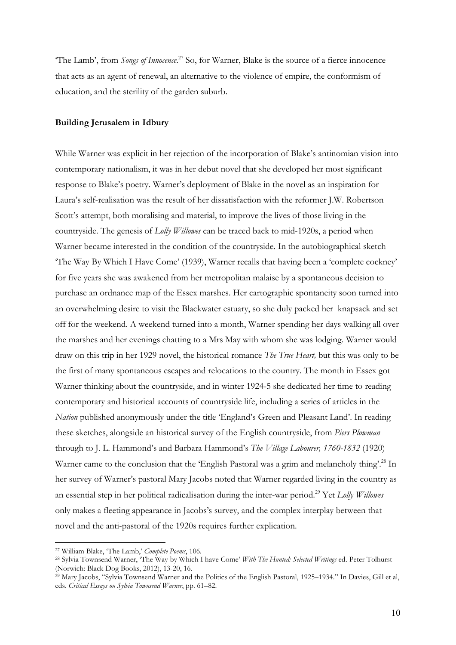"The Lamb', from Songs of Innocence.<sup>27</sup> So, for Warner, Blake is the source of a fierce innocence that acts as an agent of renewal, an alternative to the violence of empire, the conformism of education, and the sterility of the garden suburb.

### Building Jerusalem in Idbury

While Warner was explicit in her rejection of the incorporation of Blake's antinomian vision into contemporary nationalism, it was in her debut novel that she developed her most significant response to Blake's poetry. Warner's deployment of Blake in the novel as an inspiration for Laura's self-realisation was the result of her dissatisfaction with the reformer J.W. Robertson Scott's attempt, both moralising and material, to improve the lives of those living in the countryside. The genesis of Lolly Willowes can be traced back to mid-1920s, a period when Warner became interested in the condition of the countryside. In the autobiographical sketch 'The Way By Which I Have Come' (1939), Warner recalls that having been a 'complete cockney' for five years she was awakened from her metropolitan malaise by a spontaneous decision to purchase an ordnance map of the Essex marshes. Her cartographic spontaneity soon turned into an overwhelming desire to visit the Blackwater estuary, so she duly packed her knapsack and set off for the weekend. A weekend turned into a month, Warner spending her days walking all over the marshes and her evenings chatting to a Mrs May with whom she was lodging. Warner would draw on this trip in her 1929 novel, the historical romance The True Heart, but this was only to be the first of many spontaneous escapes and relocations to the country. The month in Essex got Warner thinking about the countryside, and in winter 1924-5 she dedicated her time to reading contemporary and historical accounts of countryside life, including a series of articles in the Nation published anonymously under the title 'England's Green and Pleasant Land'. In reading these sketches, alongside an historical survey of the English countryside, from *Piers Plowman* through to J. L. Hammond's and Barbara Hammond's The Village Labourer, 1760-1832 (1920) Warner came to the conclusion that the 'English Pastoral was a grim and melancholy thing'.<sup>28</sup> In her survey of Warner's pastoral Mary Jacobs noted that Warner regarded living in the country as an essential step in her political radicalisation during the inter-war period.<sup>29</sup> Yet Lolly Willowes only makes a fleeting appearance in Jacobs's survey, and the complex interplay between that novel and the anti-pastoral of the 1920s requires further explication.

<sup>&</sup>lt;sup>27</sup> William Blake, 'The Lamb,' Complete Poems, 106.

<sup>&</sup>lt;sup>28</sup> Sylvia Townsend Warner, 'The Way by Which I have Come' With The Hunted: Selected Writings ed. Peter Tolhurst (Norwich: Black Dog Books, 2012), 13-20, 16.

<sup>29</sup> Mary Jacobs, "Sylvia Townsend Warner and the Politics of the English Pastoral, 1925–1934." In Davies, Gill et al, eds. Critical Essays on Sylvia Townsend Warner, pp. 61–82.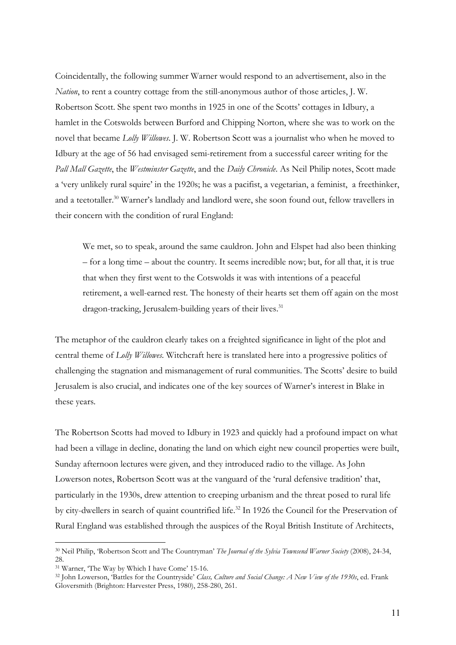Coincidentally, the following summer Warner would respond to an advertisement, also in the Nation, to rent a country cottage from the still-anonymous author of those articles, J. W. Robertson Scott. She spent two months in 1925 in one of the Scotts' cottages in Idbury, a hamlet in the Cotswolds between Burford and Chipping Norton, where she was to work on the novel that became Lolly Willowes. J. W. Robertson Scott was a journalist who when he moved to Idbury at the age of 56 had envisaged semi-retirement from a successful career writing for the Pall Mall Gazette, the Westminster Gazette, and the Daily Chronicle. As Neil Philip notes, Scott made a 'very unlikely rural squire' in the 1920s; he was a pacifist, a vegetarian, a feminist, a freethinker, and a teetotaller.<sup>30</sup> Warner's landlady and landlord were, she soon found out, fellow travellers in their concern with the condition of rural England:

We met, so to speak, around the same cauldron. John and Elspet had also been thinking – for a long time – about the country. It seems incredible now; but, for all that, it is true that when they first went to the Cotswolds it was with intentions of a peaceful retirement, a well-earned rest. The honesty of their hearts set them off again on the most dragon-tracking, Jerusalem-building years of their lives.<sup>31</sup>

The metaphor of the cauldron clearly takes on a freighted significance in light of the plot and central theme of Lolly Willowes. Witchcraft here is translated here into a progressive politics of challenging the stagnation and mismanagement of rural communities. The Scotts' desire to build Jerusalem is also crucial, and indicates one of the key sources of Warner's interest in Blake in these years.

The Robertson Scotts had moved to Idbury in 1923 and quickly had a profound impact on what had been a village in decline, donating the land on which eight new council properties were built, Sunday afternoon lectures were given, and they introduced radio to the village. As John Lowerson notes, Robertson Scott was at the vanguard of the 'rural defensive tradition' that, particularly in the 1930s, drew attention to creeping urbanism and the threat posed to rural life by city-dwellers in search of quaint countrified life.<sup>32</sup> In 1926 the Council for the Preservation of Rural England was established through the auspices of the Royal British Institute of Architects,

<sup>&</sup>lt;sup>30</sup> Neil Philip, 'Robertson Scott and The Countryman' The Journal of the Sylvia Townsend Warner Society (2008), 24-34, 28

<sup>31</sup> Warner, 'The Way by Which I have Come' 15-16.

<sup>&</sup>lt;sup>32</sup> John Lowerson, 'Battles for the Countryside' Class, Culture and Social Change: A New View of the 1930s, ed. Frank Gloversmith (Brighton: Harvester Press, 1980), 258-280, 261.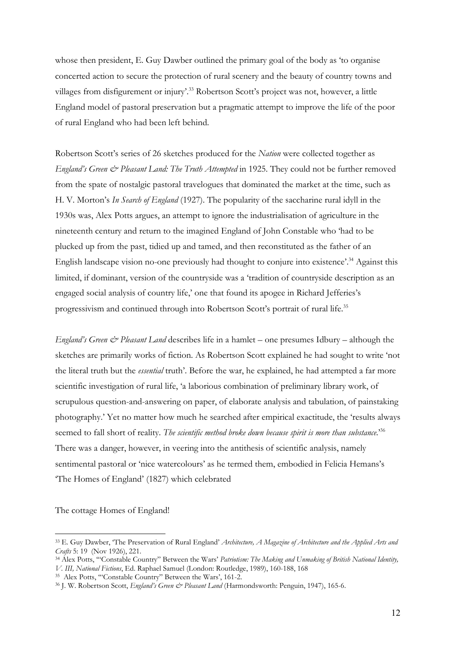whose then president, E. Guy Dawber outlined the primary goal of the body as 'to organise concerted action to secure the protection of rural scenery and the beauty of country towns and villages from disfigurement or injury'.<sup>33</sup> Robertson Scott's project was not, however, a little England model of pastoral preservation but a pragmatic attempt to improve the life of the poor of rural England who had been left behind.

Robertson Scott's series of 26 sketches produced for the *Nation* were collected together as England's Green & Pleasant Land: The Truth Attempted in 1925. They could not be further removed from the spate of nostalgic pastoral travelogues that dominated the market at the time, such as H. V. Morton's In Search of England (1927). The popularity of the saccharine rural idyll in the 1930s was, Alex Potts argues, an attempt to ignore the industrialisation of agriculture in the nineteenth century and return to the imagined England of John Constable who 'had to be plucked up from the past, tidied up and tamed, and then reconstituted as the father of an English landscape vision no-one previously had thought to conjure into existence'.<sup>34</sup> Against this limited, if dominant, version of the countryside was a 'tradition of countryside description as an engaged social analysis of country life,' one that found its apogee in Richard Jefferies's progressivism and continued through into Robertson Scott's portrait of rural life.<sup>35</sup>

England's Green  $\mathcal{Q}$  Pleasant Land describes life in a hamlet – one presumes Idbury – although the sketches are primarily works of fiction. As Robertson Scott explained he had sought to write 'not the literal truth but the *essential* truth'. Before the war, he explained, he had attempted a far more scientific investigation of rural life, 'a laborious combination of preliminary library work, of scrupulous question-and-answering on paper, of elaborate analysis and tabulation, of painstaking photography.' Yet no matter how much he searched after empirical exactitude, the 'results always seemed to fall short of reality. The scientific method broke down because spirit is more than substance.<sup>36</sup> There was a danger, however, in veering into the antithesis of scientific analysis, namely sentimental pastoral or 'nice watercolours' as he termed them, embodied in Felicia Hemans's 'The Homes of England' (1827) which celebrated

The cottage Homes of England!

<sup>&</sup>lt;sup>33</sup> E. Guy Dawber, 'The Preservation of Rural England' Architecture, A Magazine of Architecture and the Applied Arts and Crafts 5: 19 (Nov 1926), 221.

<sup>&</sup>lt;sup>34</sup> Alex Potts, "Constable Country" Between the Wars' Patriotism: The Making and Unmaking of British National Identity, V. III, National Fictions, Ed. Raphael Samuel (London: Routledge, 1989), 160-188, 168

<sup>35</sup> Alex Potts, '"Constable Country" Between the Wars', 161-2.

<sup>&</sup>lt;sup>36</sup> J. W. Robertson Scott, England's Green & Pleasant Land (Harmondsworth: Penguin, 1947), 165-6.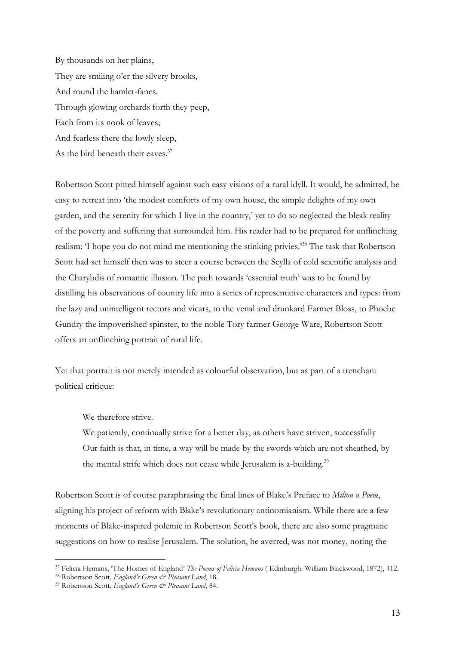By thousands on her plains, They are smiling o'er the silvery brooks, And round the hamlet-fanes. Through glowing orchards forth they peep, Each from its nook of leaves; And fearless there the lowly sleep, As the bird beneath their eaves.<sup>37</sup>

Robertson Scott pitted himself against such easy visions of a rural idyll. It would, he admitted, be easy to retreat into 'the modest comforts of my own house, the simple delights of my own garden, and the serenity for which I live in the country,' yet to do so neglected the bleak reality of the poverty and suffering that surrounded him. His reader had to be prepared for unflinching realism: 'I hope you do not mind me mentioning the stinking privies.'<sup>38</sup> The task that Robertson Scott had set himself then was to steer a course between the Scylla of cold scientific analysis and the Charybdis of romantic illusion. The path towards 'essential truth' was to be found by distilling his observations of country life into a series of representative characters and types: from the lazy and unintelligent rectors and vicars, to the venal and drunkard Farmer Bloss, to Phoebe Gundry the impoverished spinster, to the noble Tory farmer George Ware, Robertson Scott offers an unflinching portrait of rural life.

Yet that portrait is not merely intended as colourful observation, but as part of a trenchant political critique:

We therefore strive.

We patiently, continually strive for a better day, as others have striven, successfully Our faith is that, in time, a way will be made by the swords which are not sheathed, by the mental strife which does not cease while Jerusalem is a-building.<sup>39</sup>

Robertson Scott is of course paraphrasing the final lines of Blake's Preface to *Milton a Poem*, aligning his project of reform with Blake's revolutionary antinomianism. While there are a few moments of Blake-inspired polemic in Robertson Scott's book, there are also some pragmatic suggestions on how to realise Jerusalem. The solution, he averred, was not money, noting the

<sup>&</sup>lt;sup>37</sup> Felicia Hemans, 'The Homes of England' The Poems of Felicia Hemans (Edinburgh: William Blackwood, 1872), 412.

<sup>38</sup> Robertson Scott, England's Green & Pleasant Land, 18.

<sup>&</sup>lt;sup>39</sup> Robertson Scott, England's Green & Pleasant Land, 84.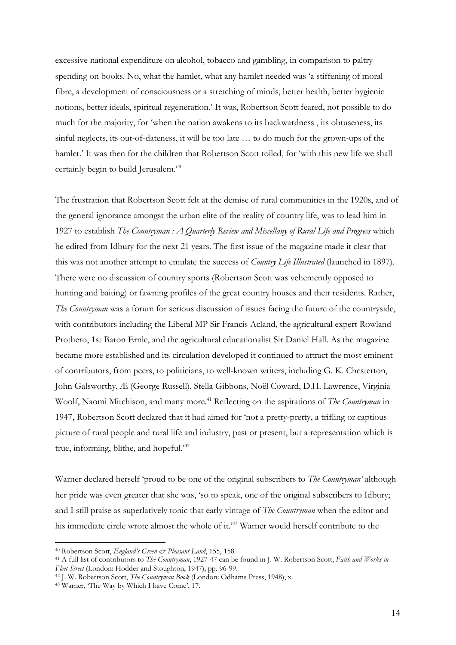excessive national expenditure on alcohol, tobacco and gambling, in comparison to paltry spending on books. No, what the hamlet, what any hamlet needed was 'a stiffening of moral fibre, a development of consciousness or a stretching of minds, better health, better hygienic notions, better ideals, spiritual regeneration.' It was, Robertson Scott feared, not possible to do much for the majority, for 'when the nation awakens to its backwardness , its obtuseness, its sinful neglects, its out-of-dateness, it will be too late … to do much for the grown-ups of the hamlet.' It was then for the children that Robertson Scott toiled, for 'with this new life we shall certainly begin to build Jerusalem.<sup>240</sup>

The frustration that Robertson Scott felt at the demise of rural communities in the 1920s, and of the general ignorance amongst the urban elite of the reality of country life, was to lead him in 1927 to establish The Countryman: A Quarterly Review and Miscellany of Rural Life and Progress which he edited from Idbury for the next 21 years. The first issue of the magazine made it clear that this was not another attempt to emulate the success of *Country Life Illustrated* (launched in 1897). There were no discussion of country sports (Robertson Scott was vehemently opposed to hunting and baiting) or fawning profiles of the great country houses and their residents. Rather, The Countryman was a forum for serious discussion of issues facing the future of the countryside, with contributors including the Liberal MP Sir Francis Acland, the agricultural expert Rowland Prothero, 1st Baron Ernle, and the agricultural educationalist Sir Daniel Hall. As the magazine became more established and its circulation developed it continued to attract the most eminent of contributors, from peers, to politicians, to well-known writers, including G. K. Chesterton, John Galsworthy, Æ (George Russell), Stella Gibbons, Noël Coward, D.H. Lawrence, Virginia Woolf, Naomi Mitchison, and many more.<sup>41</sup> Reflecting on the aspirations of *The Countryman* in 1947, Robertson Scott declared that it had aimed for 'not a pretty-pretty, a trifling or captious picture of rural people and rural life and industry, past or present, but a representation which is true, informing, blithe, and hopeful.'<sup>42</sup>

Warner declared herself 'proud to be one of the original subscribers to *The Countryman'* although her pride was even greater that she was, 'so to speak, one of the original subscribers to Idbury; and I still praise as superlatively tonic that early vintage of The Countryman when the editor and his immediate circle wrote almost the whole of it.<sup>43</sup> Warner would herself contribute to the

<sup>&</sup>lt;sup>40</sup> Robertson Scott, England's Green & Pleasant Land, 155, 158.

<sup>&</sup>lt;sup>41</sup> A full list of contributors to *The Countryman*, 1927-47 can be found in J. W. Robertson Scott, Faith and Works in Fleet Street (London: Hodder and Stoughton, 1947), pp. 96-99.

<sup>&</sup>lt;sup>42</sup> J. W. Robertson Scott, *The Countryman Book* (London: Odhams Press, 1948), x.

<sup>43</sup> Warner, 'The Way by Which I have Come', 17.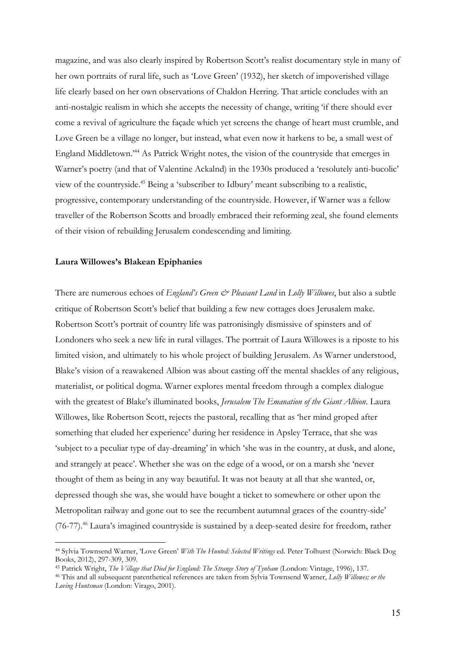magazine, and was also clearly inspired by Robertson Scott's realist documentary style in many of her own portraits of rural life, such as 'Love Green' (1932), her sketch of impoverished village life clearly based on her own observations of Chaldon Herring. That article concludes with an anti-nostalgic realism in which she accepts the necessity of change, writing 'if there should ever come a revival of agriculture the façade which yet screens the change of heart must crumble, and Love Green be a village no longer, but instead, what even now it harkens to be, a small west of England Middletown.'<sup>44</sup> As Patrick Wright notes, the vision of the countryside that emerges in Warner's poetry (and that of Valentine Ackalnd) in the 1930s produced a 'resolutely anti-bucolic' view of the countryside.<sup>45</sup> Being a 'subscriber to Idbury' meant subscribing to a realistic, progressive, contemporary understanding of the countryside. However, if Warner was a fellow traveller of the Robertson Scotts and broadly embraced their reforming zeal, she found elements of their vision of rebuilding Jerusalem condescending and limiting.

#### Laura Willowes's Blakean Epiphanies

-

There are numerous echoes of England's Green & Pleasant Land in Lolly Willowes, but also a subtle critique of Robertson Scott's belief that building a few new cottages does Jerusalem make. Robertson Scott's portrait of country life was patronisingly dismissive of spinsters and of Londoners who seek a new life in rural villages. The portrait of Laura Willowes is a riposte to his limited vision, and ultimately to his whole project of building Jerusalem. As Warner understood, Blake's vision of a reawakened Albion was about casting off the mental shackles of any religious, materialist, or political dogma. Warner explores mental freedom through a complex dialogue with the greatest of Blake's illuminated books, Jerusalem The Emanation of the Giant Albion. Laura Willowes, like Robertson Scott, rejects the pastoral, recalling that as 'her mind groped after something that eluded her experience' during her residence in Apsley Terrace, that she was 'subject to a peculiar type of day-dreaming' in which 'she was in the country, at dusk, and alone, and strangely at peace'. Whether she was on the edge of a wood, or on a marsh she 'never thought of them as being in any way beautiful. It was not beauty at all that she wanted, or, depressed though she was, she would have bought a ticket to somewhere or other upon the Metropolitan railway and gone out to see the recumbent autumnal graces of the country-side' (76-77).<sup>46</sup> Laura's imagined countryside is sustained by a deep-seated desire for freedom, rather

<sup>&</sup>lt;sup>44</sup> Sylvia Townsend Warner, 'Love Green' With The Hunted: Selected Writings ed. Peter Tolhurst (Norwich: Black Dog Books, 2012), 297-309, 309.

<sup>45</sup> Patrick Wright, The Village that Died for England: The Strange Story of Tynham (London: Vintage, 1996), 137.

<sup>&</sup>lt;sup>46</sup> This and all subsequent parenthetical references are taken from Sylvia Townsend Warner, Lolly Willowes; or the Loving Huntsman (London: Virago, 2001).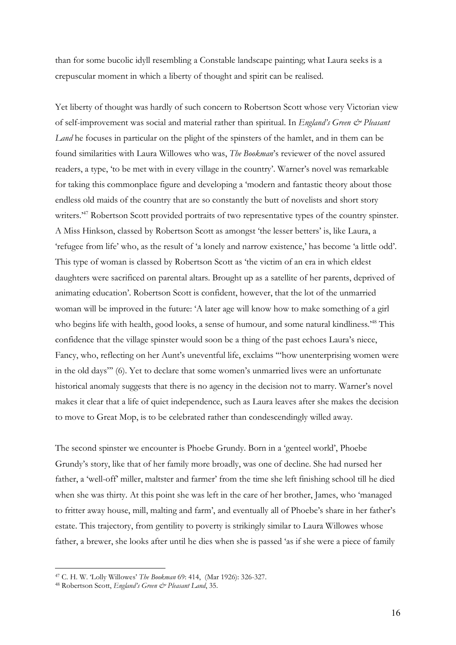than for some bucolic idyll resembling a Constable landscape painting; what Laura seeks is a crepuscular moment in which a liberty of thought and spirit can be realised.

Yet liberty of thought was hardly of such concern to Robertson Scott whose very Victorian view of self-improvement was social and material rather than spiritual. In England's Green & Pleasant Land he focuses in particular on the plight of the spinsters of the hamlet, and in them can be found similarities with Laura Willowes who was, The Bookman's reviewer of the novel assured readers, a type, 'to be met with in every village in the country'. Warner's novel was remarkable for taking this commonplace figure and developing a 'modern and fantastic theory about those endless old maids of the country that are so constantly the butt of novelists and short story writers.<sup>47</sup> Robertson Scott provided portraits of two representative types of the country spinster. A Miss Hinkson, classed by Robertson Scott as amongst 'the lesser betters' is, like Laura, a 'refugee from life' who, as the result of 'a lonely and narrow existence,' has become 'a little odd'. This type of woman is classed by Robertson Scott as 'the victim of an era in which eldest daughters were sacrificed on parental altars. Brought up as a satellite of her parents, deprived of animating education'. Robertson Scott is confident, however, that the lot of the unmarried woman will be improved in the future: 'A later age will know how to make something of a girl who begins life with health, good looks, a sense of humour, and some natural kindliness.<sup>48</sup> This confidence that the village spinster would soon be a thing of the past echoes Laura's niece, Fancy, who, reflecting on her Aunt's uneventful life, exclaims '"how unenterprising women were in the old days"' (6). Yet to declare that some women's unmarried lives were an unfortunate historical anomaly suggests that there is no agency in the decision not to marry. Warner's novel makes it clear that a life of quiet independence, such as Laura leaves after she makes the decision to move to Great Mop, is to be celebrated rather than condescendingly willed away.

The second spinster we encounter is Phoebe Grundy. Born in a 'genteel world', Phoebe Grundy's story, like that of her family more broadly, was one of decline. She had nursed her father, a 'well-off' miller, maltster and farmer' from the time she left finishing school till he died when she was thirty. At this point she was left in the care of her brother, James, who 'managed to fritter away house, mill, malting and farm', and eventually all of Phoebe's share in her father's estate. This trajectory, from gentility to poverty is strikingly similar to Laura Willowes whose father, a brewer, she looks after until he dies when she is passed 'as if she were a piece of family

<sup>47</sup> C. H. W. 'Lolly Willowes' The Bookman 69: 414, (Mar 1926): 326-327.

<sup>48</sup> Robertson Scott, England's Green & Pleasant Land, 35.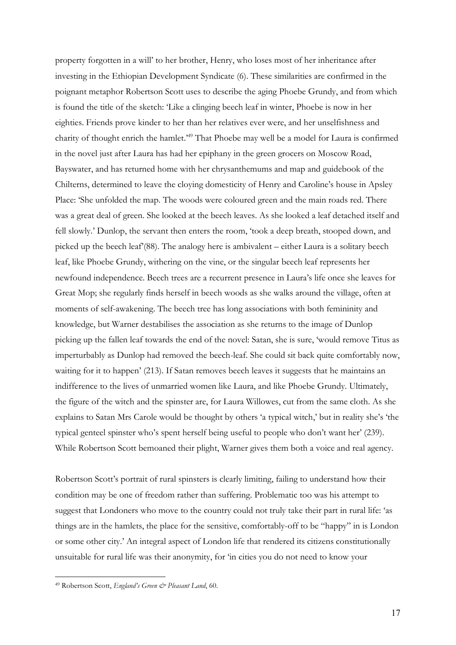property forgotten in a will' to her brother, Henry, who loses most of her inheritance after investing in the Ethiopian Development Syndicate (6). These similarities are confirmed in the poignant metaphor Robertson Scott uses to describe the aging Phoebe Grundy, and from which is found the title of the sketch: 'Like a clinging beech leaf in winter, Phoebe is now in her eighties. Friends prove kinder to her than her relatives ever were, and her unselfishness and charity of thought enrich the hamlet.'<sup>49</sup> That Phoebe may well be a model for Laura is confirmed in the novel just after Laura has had her epiphany in the green grocers on Moscow Road, Bayswater, and has returned home with her chrysanthemums and map and guidebook of the Chilterns, determined to leave the cloying domesticity of Henry and Caroline's house in Apsley Place: 'She unfolded the map. The woods were coloured green and the main roads red. There was a great deal of green. She looked at the beech leaves. As she looked a leaf detached itself and fell slowly.' Dunlop, the servant then enters the room, 'took a deep breath, stooped down, and picked up the beech leaf'(88). The analogy here is ambivalent – either Laura is a solitary beech leaf, like Phoebe Grundy, withering on the vine, or the singular beech leaf represents her newfound independence. Beech trees are a recurrent presence in Laura's life once she leaves for Great Mop; she regularly finds herself in beech woods as she walks around the village, often at moments of self-awakening. The beech tree has long associations with both femininity and knowledge, but Warner destabilises the association as she returns to the image of Dunlop picking up the fallen leaf towards the end of the novel: Satan, she is sure, 'would remove Titus as imperturbably as Dunlop had removed the beech-leaf. She could sit back quite comfortably now, waiting for it to happen' (213). If Satan removes beech leaves it suggests that he maintains an indifference to the lives of unmarried women like Laura, and like Phoebe Grundy. Ultimately, the figure of the witch and the spinster are, for Laura Willowes, cut from the same cloth. As she explains to Satan Mrs Carole would be thought by others 'a typical witch,' but in reality she's 'the typical genteel spinster who's spent herself being useful to people who don't want her' (239). While Robertson Scott bemoaned their plight, Warner gives them both a voice and real agency.

Robertson Scott's portrait of rural spinsters is clearly limiting, failing to understand how their condition may be one of freedom rather than suffering. Problematic too was his attempt to suggest that Londoners who move to the country could not truly take their part in rural life: 'as things are in the hamlets, the place for the sensitive, comfortably-off to be "happy" in is London or some other city.' An integral aspect of London life that rendered its citizens constitutionally unsuitable for rural life was their anonymity, for 'in cities you do not need to know your

<sup>49</sup> Robertson Scott, England's Green & Pleasant Land, 60.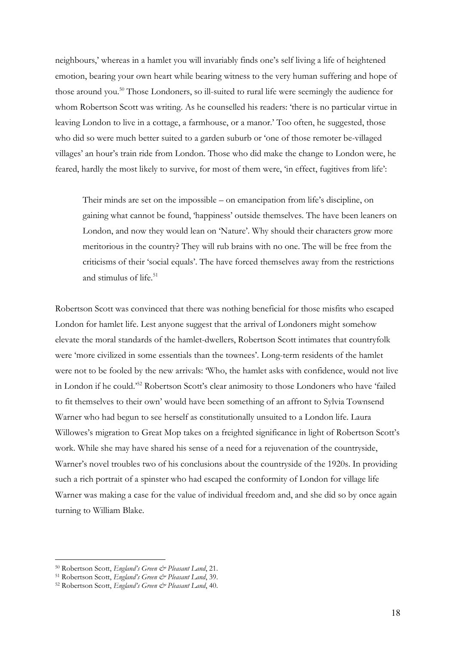neighbours,' whereas in a hamlet you will invariably finds one's self living a life of heightened emotion, bearing your own heart while bearing witness to the very human suffering and hope of those around you.<sup>50</sup> Those Londoners, so ill-suited to rural life were seemingly the audience for whom Robertson Scott was writing. As he counselled his readers: 'there is no particular virtue in leaving London to live in a cottage, a farmhouse, or a manor.' Too often, he suggested, those who did so were much better suited to a garden suburb or 'one of those remoter be-villaged villages' an hour's train ride from London. Those who did make the change to London were, he feared, hardly the most likely to survive, for most of them were, 'in effect, fugitives from life':

Their minds are set on the impossible – on emancipation from life's discipline, on gaining what cannot be found, 'happiness' outside themselves. The have been leaners on London, and now they would lean on 'Nature'. Why should their characters grow more meritorious in the country? They will rub brains with no one. The will be free from the criticisms of their 'social equals'. The have forced themselves away from the restrictions and stimulus of life.<sup>51</sup>

Robertson Scott was convinced that there was nothing beneficial for those misfits who escaped London for hamlet life. Lest anyone suggest that the arrival of Londoners might somehow elevate the moral standards of the hamlet-dwellers, Robertson Scott intimates that countryfolk were 'more civilized in some essentials than the townees'. Long-term residents of the hamlet were not to be fooled by the new arrivals: 'Who, the hamlet asks with confidence, would not live in London if he could.'<sup>52</sup> Robertson Scott's clear animosity to those Londoners who have 'failed to fit themselves to their own' would have been something of an affront to Sylvia Townsend Warner who had begun to see herself as constitutionally unsuited to a London life. Laura Willowes's migration to Great Mop takes on a freighted significance in light of Robertson Scott's work. While she may have shared his sense of a need for a rejuvenation of the countryside, Warner's novel troubles two of his conclusions about the countryside of the 1920s. In providing such a rich portrait of a spinster who had escaped the conformity of London for village life Warner was making a case for the value of individual freedom and, and she did so by once again turning to William Blake.

<sup>50</sup> Robertson Scott, England's Green & Pleasant Land, 21.

<sup>51</sup> Robertson Scott, England's Green & Pleasant Land, 39.

<sup>52</sup> Robertson Scott, England's Green & Pleasant Land, 40.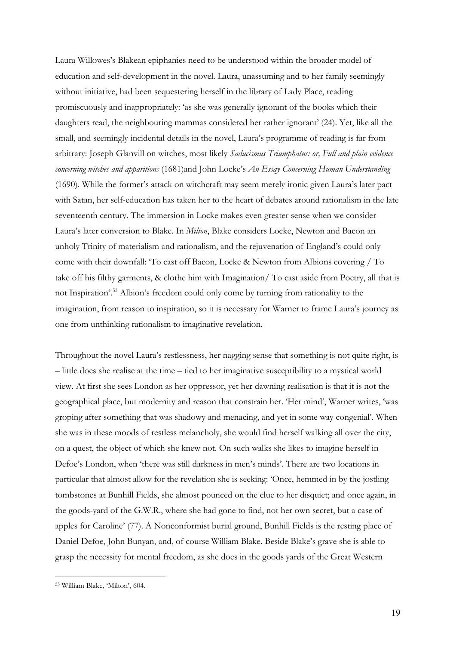Laura Willowes's Blakean epiphanies need to be understood within the broader model of education and self-development in the novel. Laura, unassuming and to her family seemingly without initiative, had been sequestering herself in the library of Lady Place, reading promiscuously and inappropriately: 'as she was generally ignorant of the books which their daughters read, the neighbouring mammas considered her rather ignorant' (24). Yet, like all the small, and seemingly incidental details in the novel, Laura's programme of reading is far from arbitrary: Joseph Glanvill on witches, most likely Saducismus Triumphatus: or, Full and plain evidence concerning witches and apparitions (1681)and John Locke's An Essay Concerning Human Understanding (1690). While the former's attack on witchcraft may seem merely ironic given Laura's later pact with Satan, her self-education has taken her to the heart of debates around rationalism in the late seventeenth century. The immersion in Locke makes even greater sense when we consider Laura's later conversion to Blake. In Milton, Blake considers Locke, Newton and Bacon an unholy Trinity of materialism and rationalism, and the rejuvenation of England's could only come with their downfall: 'To cast off Bacon, Locke & Newton from Albions covering / To take off his filthy garments, & clothe him with Imagination/ To cast aside from Poetry, all that is not Inspiration'.<sup>53</sup> Albion's freedom could only come by turning from rationality to the imagination, from reason to inspiration, so it is necessary for Warner to frame Laura's journey as one from unthinking rationalism to imaginative revelation.

Throughout the novel Laura's restlessness, her nagging sense that something is not quite right, is – little does she realise at the time – tied to her imaginative susceptibility to a mystical world view. At first she sees London as her oppressor, yet her dawning realisation is that it is not the geographical place, but modernity and reason that constrain her. 'Her mind', Warner writes, 'was groping after something that was shadowy and menacing, and yet in some way congenial'. When she was in these moods of restless melancholy, she would find herself walking all over the city, on a quest, the object of which she knew not. On such walks she likes to imagine herself in Defoe's London, when 'there was still darkness in men's minds'. There are two locations in particular that almost allow for the revelation she is seeking: 'Once, hemmed in by the jostling tombstones at Bunhill Fields, she almost pounced on the clue to her disquiet; and once again, in the goods-yard of the G.W.R., where she had gone to find, not her own secret, but a case of apples for Caroline' (77). A Nonconformist burial ground, Bunhill Fields is the resting place of Daniel Defoe, John Bunyan, and, of course William Blake. Beside Blake's grave she is able to grasp the necessity for mental freedom, as she does in the goods yards of the Great Western

<sup>53</sup> William Blake, 'Milton', 604.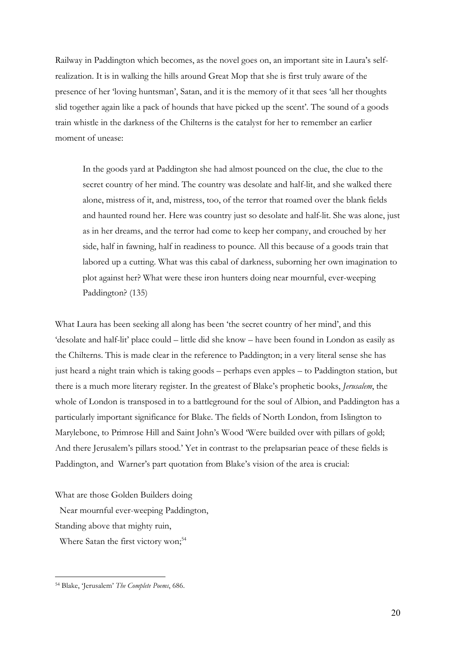Railway in Paddington which becomes, as the novel goes on, an important site in Laura's selfrealization. It is in walking the hills around Great Mop that she is first truly aware of the presence of her 'loving huntsman', Satan, and it is the memory of it that sees 'all her thoughts slid together again like a pack of hounds that have picked up the scent'. The sound of a goods train whistle in the darkness of the Chilterns is the catalyst for her to remember an earlier moment of unease:

In the goods yard at Paddington she had almost pounced on the clue, the clue to the secret country of her mind. The country was desolate and half-lit, and she walked there alone, mistress of it, and, mistress, too, of the terror that roamed over the blank fields and haunted round her. Here was country just so desolate and half-lit. She was alone, just as in her dreams, and the terror had come to keep her company, and crouched by her side, half in fawning, half in readiness to pounce. All this because of a goods train that labored up a cutting. What was this cabal of darkness, suborning her own imagination to plot against her? What were these iron hunters doing near mournful, ever-weeping Paddington? (135)

What Laura has been seeking all along has been 'the secret country of her mind', and this 'desolate and half-lit' place could – little did she know – have been found in London as easily as the Chilterns. This is made clear in the reference to Paddington; in a very literal sense she has just heard a night train which is taking goods – perhaps even apples – to Paddington station, but there is a much more literary register. In the greatest of Blake's prophetic books, *Jerusalem*, the whole of London is transposed in to a battleground for the soul of Albion, and Paddington has a particularly important significance for Blake. The fields of North London, from Islington to Marylebone, to Primrose Hill and Saint John's Wood 'Were builded over with pillars of gold; And there Jerusalem's pillars stood.' Yet in contrast to the prelapsarian peace of these fields is Paddington, and Warner's part quotation from Blake's vision of the area is crucial:

What are those Golden Builders doing

Near mournful ever-weeping Paddington,

Standing above that mighty ruin,

Where Satan the first victory won;<sup>54</sup>

<sup>54</sup> Blake, 'Jerusalem' The Complete Poems, 686.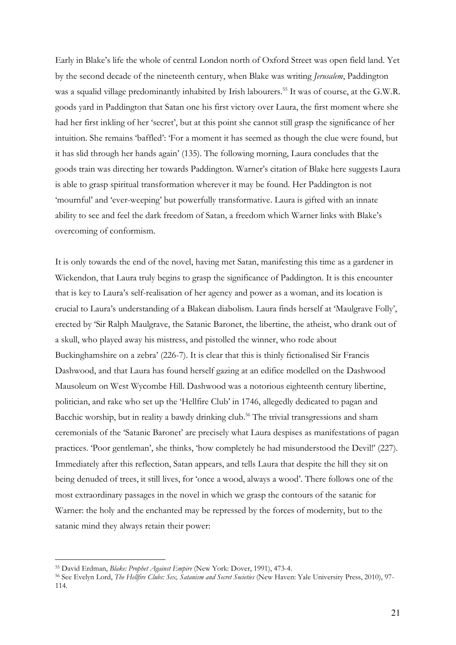Early in Blake's life the whole of central London north of Oxford Street was open field land. Yet by the second decade of the nineteenth century, when Blake was writing Jerusalem, Paddington was a squalid village predominantly inhabited by Irish labourers.<sup>55</sup> It was of course, at the G.W.R. goods yard in Paddington that Satan one his first victory over Laura, the first moment where she had her first inkling of her 'secret', but at this point she cannot still grasp the significance of her intuition. She remains 'baffled': 'For a moment it has seemed as though the clue were found, but it has slid through her hands again' (135). The following morning, Laura concludes that the goods train was directing her towards Paddington. Warner's citation of Blake here suggests Laura is able to grasp spiritual transformation wherever it may be found. Her Paddington is not 'mournful' and 'ever-weeping' but powerfully transformative. Laura is gifted with an innate ability to see and feel the dark freedom of Satan, a freedom which Warner links with Blake's overcoming of conformism.

It is only towards the end of the novel, having met Satan, manifesting this time as a gardener in Wickendon, that Laura truly begins to grasp the significance of Paddington. It is this encounter that is key to Laura's self-realisation of her agency and power as a woman, and its location is crucial to Laura's understanding of a Blakean diabolism. Laura finds herself at 'Maulgrave Folly', erected by 'Sir Ralph Maulgrave, the Satanic Baronet, the libertine, the atheist, who drank out of a skull, who played away his mistress, and pistolled the winner, who rode about Buckinghamshire on a zebra' (226-7). It is clear that this is thinly fictionalised Sir Francis Dashwood, and that Laura has found herself gazing at an edifice modelled on the Dashwood Mausoleum on West Wycombe Hill. Dashwood was a notorious eighteenth century libertine, politician, and rake who set up the 'Hellfire Club' in 1746, allegedly dedicated to pagan and Bacchic worship, but in reality a bawdy drinking club.<sup>56</sup> The trivial transgressions and sham ceremonials of the 'Satanic Baronet' are precisely what Laura despises as manifestations of pagan practices. 'Poor gentleman', she thinks, 'how completely he had misunderstood the Devil!' (227). Immediately after this reflection, Satan appears, and tells Laura that despite the hill they sit on being denuded of trees, it still lives, for 'once a wood, always a wood'. There follows one of the most extraordinary passages in the novel in which we grasp the contours of the satanic for Warner: the holy and the enchanted may be repressed by the forces of modernity, but to the satanic mind they always retain their power:

<sup>55</sup> David Erdman, Blake: Prophet Against Empire (New York: Dover, 1991), 473-4.

<sup>56</sup> See Evelyn Lord, The Hellfire Clubs: Sex, Satanism and Secret Societies (New Haven: Yale University Press, 2010), 97-114.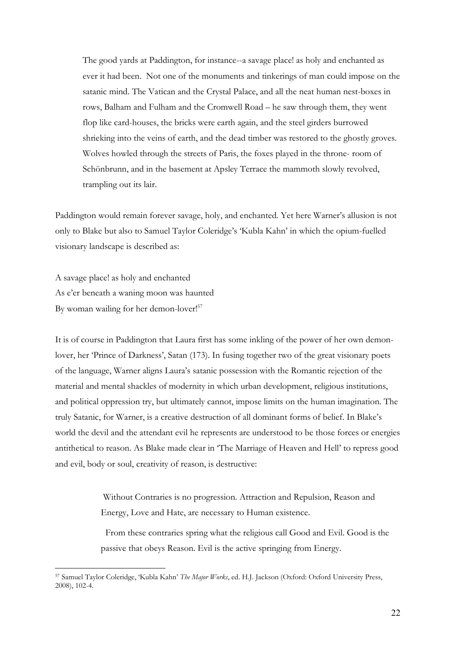The good yards at Paddington, for instance--a savage place! as holy and enchanted as ever it had been. Not one of the monuments and tinkerings of man could impose on the satanic mind. The Vatican and the Crystal Palace, and all the neat human nest-boxes in rows, Balham and Fulham and the Cromwell Road – he saw through them, they went flop like card-houses, the bricks were earth again, and the steel girders burrowed shrieking into the veins of earth, and the dead timber was restored to the ghostly groves. Wolves howled through the streets of Paris, the foxes played in the throne- room of Schönbrunn, and in the basement at Apsley Terrace the mammoth slowly revolved, trampling out its lair.

Paddington would remain forever savage, holy, and enchanted. Yet here Warner's allusion is not only to Blake but also to Samuel Taylor Coleridge's 'Kubla Kahn' in which the opium-fuelled visionary landscape is described as:

A savage place! as holy and enchanted As e'er beneath a waning moon was haunted By woman wailing for her demon-lover!<sup>57</sup>

-

It is of course in Paddington that Laura first has some inkling of the power of her own demonlover, her 'Prince of Darkness', Satan (173). In fusing together two of the great visionary poets of the language, Warner aligns Laura's satanic possession with the Romantic rejection of the material and mental shackles of modernity in which urban development, religious institutions, and political oppression try, but ultimately cannot, impose limits on the human imagination. The truly Satanic, for Warner, is a creative destruction of all dominant forms of belief. In Blake's world the devil and the attendant evil he represents are understood to be those forces or energies antithetical to reason. As Blake made clear in 'The Marriage of Heaven and Hell' to repress good and evil, body or soul, creativity of reason, is destructive:

> Without Contraries is no progression. Attraction and Repulsion, Reason and Energy, Love and Hate, are necessary to Human existence.

 From these contraries spring what the religious call Good and Evil. Good is the passive that obeys Reason. Evil is the active springing from Energy.

<sup>57</sup> Samuel Taylor Coleridge, 'Kubla Kahn' The Major Works, ed. H.J. Jackson (Oxford: Oxford University Press, 2008), 102-4.